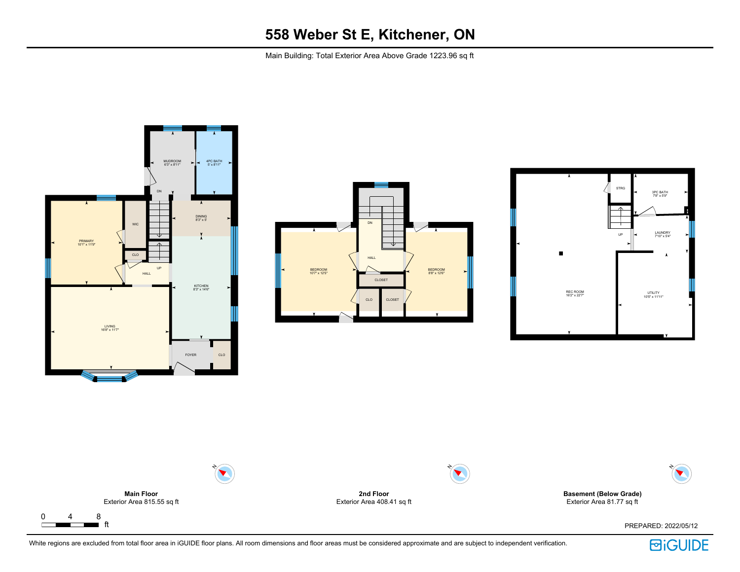Main Building: Total Exterior Area Above Grade 1223.96 sq ft









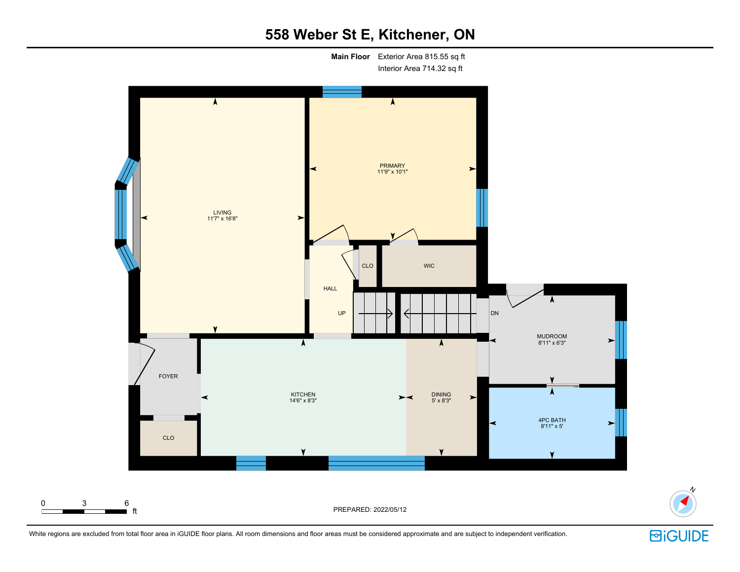**Main Floor** Exterior Area 815.55 sq ft Interior Area 714.32 sq ft





**回iGUIDE** 

N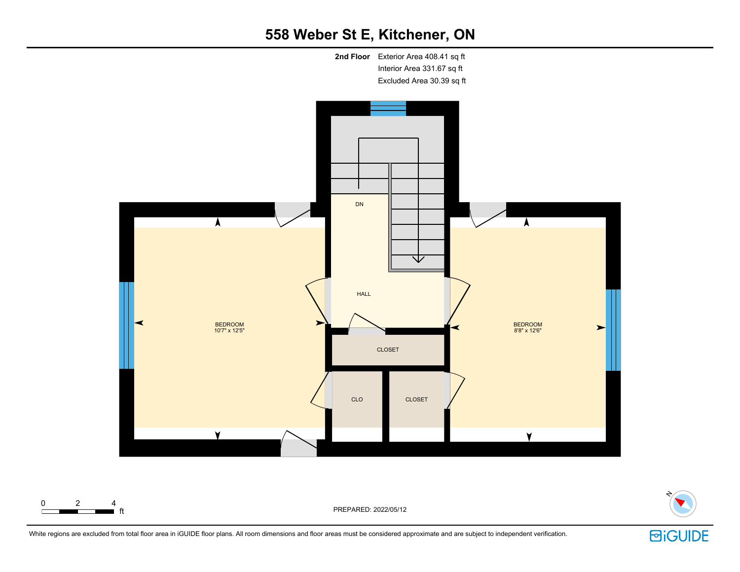



 $\begin{array}{ccccccc}\n0 & 2 & 4 \\
\hline\n\end{array}$  ft

PREPARED: 2022/05/12

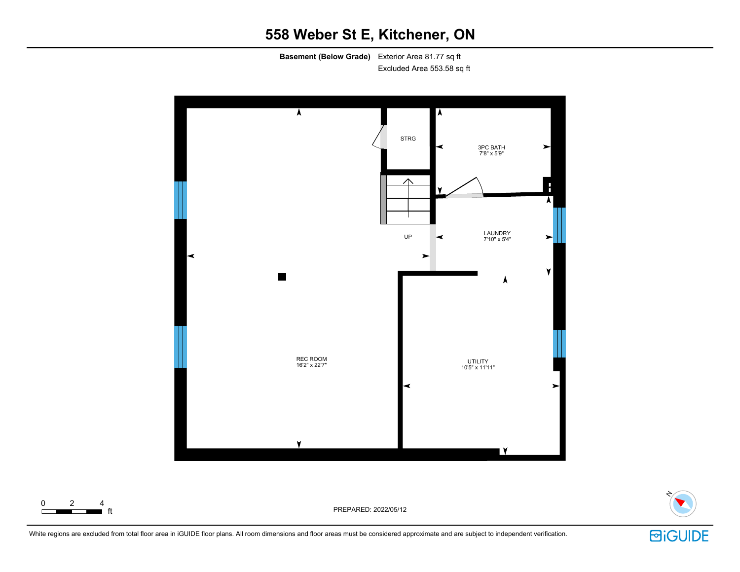**Basement (Below Grade)** Exterior Area 81.77 sq ft Excluded Area 553.58 sq ft



PREPARED: 2022/05/12



White regions are excluded from total floor area in iGUIDE floor plans. All room dimensions and floor areas must be considered approximate and are subject to independent verification.

 $\begin{array}{cccc} 0 & 2 & 4 \\ \hline \end{array}$  ft

**回iGUIDE**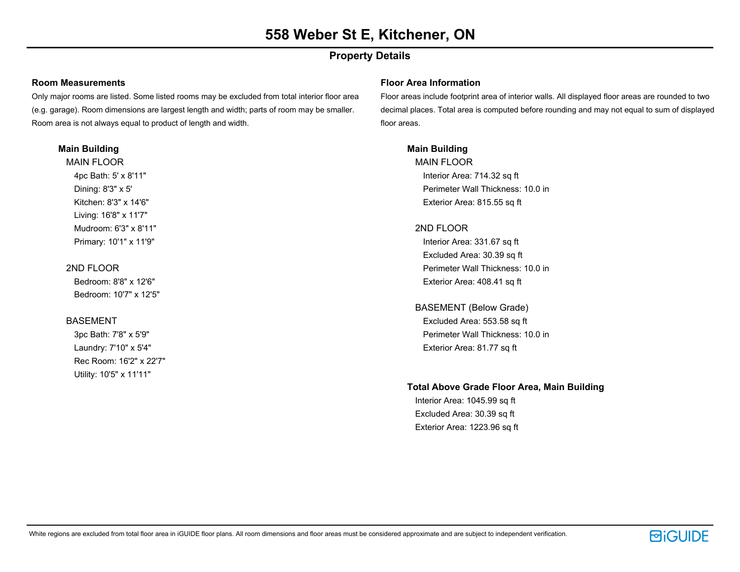## **Property Details**

#### **Room Measurements**

Only major rooms are listed. Some listed rooms may be excluded from total interior floor area (e.g. garage). Room dimensions are largest length and width; parts of room may be smaller. Room area is not always equal to product of length and width.

#### **Main Building**

MAIN FLOOR 4pc Bath: 5' x 8'11" Dining: 8'3" x 5' Kitchen: 8'3" x 14'6" Living: 16'8" x 11'7" Mudroom: 6'3" x 8'11" Primary: 10'1" x 11'9"

#### 2ND FLOOR

Bedroom: 8'8" x 12'6" Bedroom: 10'7" x 12'5"

### BASEMENT

3pc Bath: 7'8" x 5'9" Laundry: 7'10" x 5'4" Rec Room: 16'2" x 22'7" Utility: 10'5" x 11'11"

#### **Floor Area Information**

Floor areas include footprint area of interior walls. All displayed floor areas are rounded to two decimal places. Total area is computed before rounding and may not equal to sum of displayed floor areas.

### **Main Building**

MAIN FLOOR Interior Area: 714.32 sq ft Perimeter Wall Thickness: 10.0 in Exterior Area: 815.55 sq ft

### 2ND FLOOR

Interior Area: 331.67 sq ft Excluded Area: 30.39 sq ft Perimeter Wall Thickness: 10.0 in Exterior Area: 408.41 sq ft

BASEMENT (Below Grade) Excluded Area: 553.58 sq ft Perimeter Wall Thickness: 10.0 in Exterior Area: 81.77 sq ft

### **Total Above Grade Floor Area, Main Building**

Interior Area: 1045.99 sq ft Excluded Area: 30.39 sq ft Exterior Area: 1223.96 sq ft